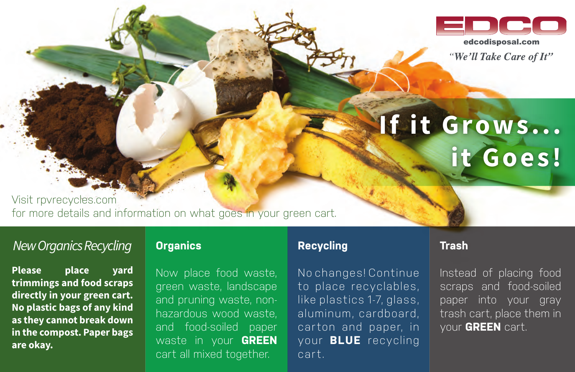

"We'll Take Care of It"

# **If it Grows... it Goes!**

Visit rpvrecycles.com for more details and information on what goes in your green cart.

# *New Organics Recycling*

**Please place yard trimmings and food scraps directly in your green cart. No plastic bags of any kind as they cannot break down in the compost. Paper bags are okay.**

#### **Organics**

Now place food waste, green waste, landscape and pruning waste, nonhazardous wood waste, and food-soiled paper waste in your **GREEN** cart all mixed together.

## **Recycling**

No changes! Continue to place recyclables, like plastics 1-7, glass, aluminum, cardboard, carton and paper, in your **BLUE** recycling cart.

## **Trash**

Instead of placing food scraps and food-soiled paper into your gray trash cart, place them in your **GREEN** cart.